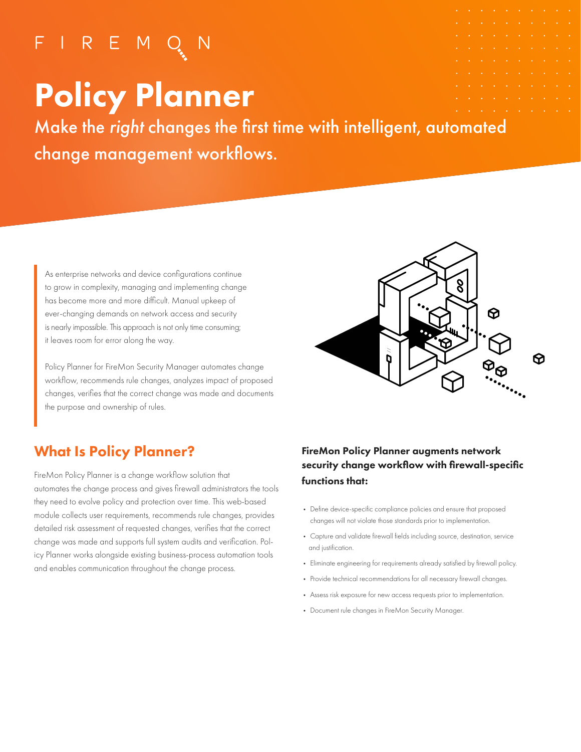## $F \mid R \in M Q$

# Policy Planner

Make the right changes the first time with intelligent, automated change management workflows.

 As enterprise networks and device configurations continue to grow in complexity, managing and implementing change has become more and more difficult. Manual upkeep of ever-changing demands on network access and security is nearly impossible. This approach is not only time consuming; it leaves room for error along the way.

 Policy Planner for FireMon Security Manager automates change workflow, recommends rule changes, analyzes impact of proposed changes, verifies that the correct change was made and documents the purpose and ownership of rules.



### What Is Policy Planner?

FireMon Policy Planner is a change workflow solution that automates the change process and gives firewall administrators the tools they need to evolve policy and protection over time. This web-based module collects user requirements, recommends rule changes, provides detailed risk assessment of requested changes, verifies that the correct change was made and supports full system audits and verification. Policy Planner works alongside existing business-process automation tools and enables communication throughout the change process.

#### FireMon Policy Planner augments network security change workflow with firewall-specific functions that:

- Define device-specific compliance policies and ensure that proposed changes will not violate those standards prior to implementation.
- Capture and validate firewall fields including source, destination, service and justification.
- Eliminate engineering for requirements already satisfied by firewall policy.
- Provide technical recommendations for all necessary firewall changes.
- Assess risk exposure for new access requests prior to implementation.
- Document rule changes in FireMon Security Manager.